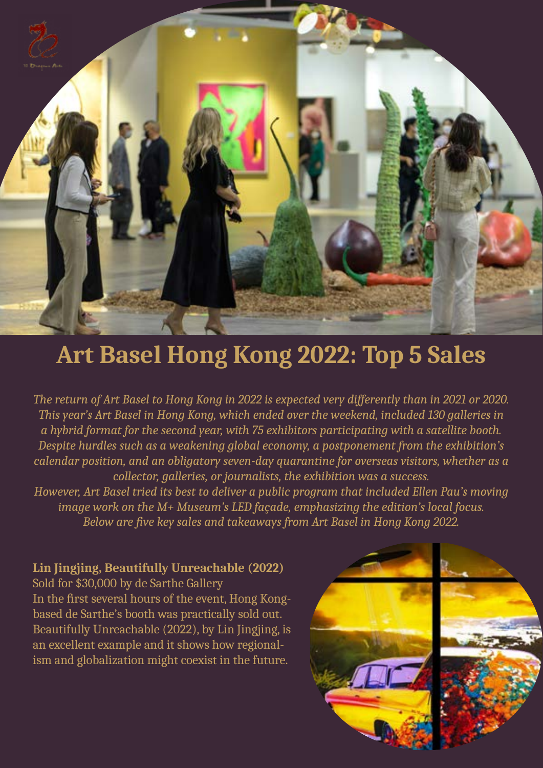

# **Art Basel Hong Kong 2022: Top 5 Sales**

*The return of Art Basel to Hong Kong in 2022 is expected very differently than in 2021 or 2020. This year's Art Basel in Hong Kong, which ended over the weekend, included 130 galleries in a hybrid format for the second year, with 75 exhibitors participating with a satellite booth. Despite hurdles such as a weakening global economy, a postponement from the exhibition's calendar position, and an obligatory seven-day quarantine for overseas visitors, whether as a collector, galleries, or journalists, the exhibition was a success.*

*However, Art Basel tried its best to deliver a public program that included Ellen Pau's moving image work on the M+ Museum's LED façade, emphasizing the edition's local focus. Below are five key sales and takeaways from Art Basel in Hong Kong 2022.*

## **Lin Jingjing, Beautifully Unreachable (2022)**

Sold for \$30,000 by de Sarthe Gallery In the first several hours of the event, Hong Kongbased de Sarthe's booth was practically sold out. Beautifully Unreachable (2022), by Lin Jingjing, is an excellent example and it shows how regionalism and globalization might coexist in the future.

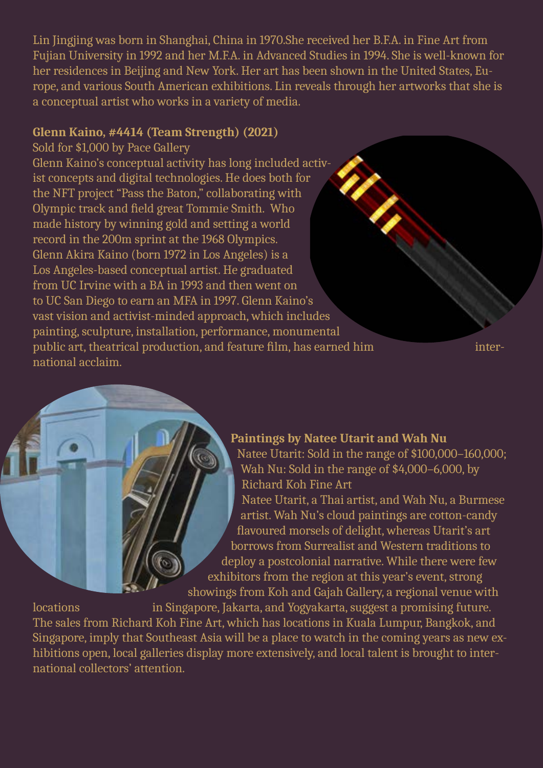Lin Jingjing was born in Shanghai, China in 1970.She received her B.F.A. in Fine Art from Fujian University in 1992 and her M.F.A. in Advanced Studies in 1994. She is well-known for her residences in Beijing and New York. Her art has been shown in the United States, Europe, and various South American exhibitions. Lin reveals through her artworks that she is a conceptual artist who works in a variety of media.

#### **Glenn Kaino, #4414 (Team Strength) (2021)**

Sold for \$1,000 by Pace Gallery

Glenn Kaino's conceptual activity has long included activist concepts and digital technologies. He does both for the NFT project "Pass the Baton," collaborating with Olympic track and field great Tommie Smith. Who made history by winning gold and setting a world record in the 200m sprint at the 1968 Olympics. Glenn Akira Kaino (born 1972 in Los Angeles) is a Los Angeles-based conceptual artist. He graduated from UC Irvine with a BA in 1993 and then went on to UC San Diego to earn an MFA in 1997. Glenn Kaino's vast vision and activist-minded approach, which includes painting, sculpture, installation, performance, monumental public art, theatrical production, and feature film, has earned him international acclaim.

## **Paintings by Natee Utarit and Wah Nu**

Natee Utarit: Sold in the range of \$100,000–160,000; Wah Nu: Sold in the range of \$4,000–6,000, by Richard Koh Fine Art

Natee Utarit, a Thai artist, and Wah Nu, a Burmese artist. Wah Nu's cloud paintings are cotton-candy flavoured morsels of delight, whereas Utarit's art borrows from Surrealist and Western traditions to deploy a postcolonial narrative. While there were few exhibitors from the region at this year's event, strong showings from Koh and Gajah Gallery, a regional venue with

locations in Singapore, Jakarta, and Yogyakarta, suggest a promising future. The sales from Richard Koh Fine Art, which has locations in Kuala Lumpur, Bangkok, and Singapore, imply that Southeast Asia will be a place to watch in the coming years as new exhibitions open, local galleries display more extensively, and local talent is brought to international collectors' attention.